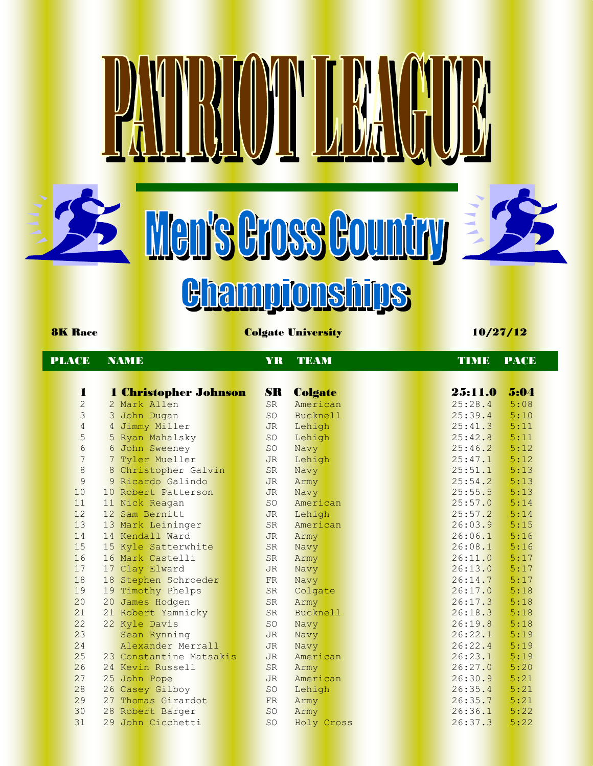## **THE MEAN**



**8K Race Colgate University 10/27/12** 

<u>Ghampionships</u>

Men's Gross Country

| <b>PLACE</b>    | <b>NAME</b>             | <b>YR</b> | <b>TEAM</b>     | <b>TIME</b> | <b>PACE</b> |
|-----------------|-------------------------|-----------|-----------------|-------------|-------------|
|                 |                         |           |                 |             |             |
| $\mathbf{I}$    | 1 Christopher Johnson   | <b>SR</b> | Colgate         | 25:11.0     | 5:04        |
| $\overline{c}$  | 2 Mark Allen            | <b>SR</b> | American        | 25:28.4     | 5:08        |
| $\overline{3}$  | 3 John Dugan            | <b>SO</b> | <b>Bucknell</b> | 25:39.4     | 5:10        |
| $\overline{4}$  | 4 Jimmy Miller          | <b>JR</b> | Lehigh          | 25:41.3     | 5:11        |
| 5               | 5 Ryan Mahalsky         | <b>SO</b> | Lehigh          | 25:42.8     | 5:11        |
| $6\phantom{.}6$ | 6 John Sweeney          | <b>SO</b> | Navy            | 25:46.2     | 5:12        |
| 7               | 7 Tyler Mueller         | <b>JR</b> | Lehigh          | 25:47.1     | 5:12        |
| $\sqrt{8}$      | 8 Christopher Galvin    | <b>SR</b> | Navy            | 25:51.1     | 5:13        |
| 9               | 9 Ricardo Galindo       | <b>JR</b> | Army            | 25:54.2     | 5:13        |
| 10              | 10 Robert Patterson     | <b>JR</b> | Navy            | 25:55.5     | 5:13        |
| 11              | 11 Nick Reagan          | <b>SO</b> | American        | 25:57.0     | 5:14        |
| 12              | 12 Sam Bernitt          | <b>JR</b> | Lehigh          | 25:57.2     | 5:14        |
| 13              | 13 Mark Leininger       | SR        | American        | 26:03.9     | 5:15        |
| 14              | 14 Kendall Ward         | <b>JR</b> | Army            | 26:06.1     | 5:16        |
| 15              | 15 Kyle Satterwhite     | <b>SR</b> | Navy            | 26:08.1     | 5:16        |
| 16              | 16 Mark Castelli        | <b>SR</b> | Army            | 26:11.0     | 5:17        |
| 17              | 17 Clay Elward          | <b>JR</b> | Navy            | 26:13.0     | 5:17        |
| 18              | 18 Stephen Schroeder    | FR        | Navy            | 26:14.7     | 5:17        |
| 19              | 19 Timothy Phelps       | <b>SR</b> | Colgate         | 26:17.0     | 5:18        |
| 20              | 20 James Hodgen         | SR        | Army            | 26:17.3     | 5:18        |
| 21              | 21 Robert Yamnicky      | SR        | <b>Bucknell</b> | 26:18.3     | 5:18        |
| 22              | 22 Kyle Davis           | <b>SO</b> | Navy            | 26:19.8     | 5:18        |
| 23              | Sean Rynning            | <b>JR</b> | Navy            | 26:22.1     | 5:19        |
| 24              | Alexander Merrall       | <b>JR</b> | Navy            | 26:22.4     | 5:19        |
| 25              | 23 Constantine Matsakis | <b>JR</b> | American        | 26:23.1     | 5:19        |
| 26              | 24 Kevin Russell        | SR        | Army            | 26:27.0     | 5:20        |
| 27              | 25 John Pope            | <b>JR</b> | American        | 26:30.9     | 5:21        |
| 28              | 26 Casey Gilboy         | <b>SO</b> | Lehigh          | 26:35.4     | 5:21        |
| 29              | 27 Thomas Girardot      | FR        | Army            | 26:35.7     | 5:21        |
| 30              | 28 Robert Barger        | <b>SO</b> | Army            | 26:36.1     | 5:22        |
| 31              | 29<br>John Cicchetti    | <b>SO</b> | Holy Cross      | 26:37.3     | 5:22        |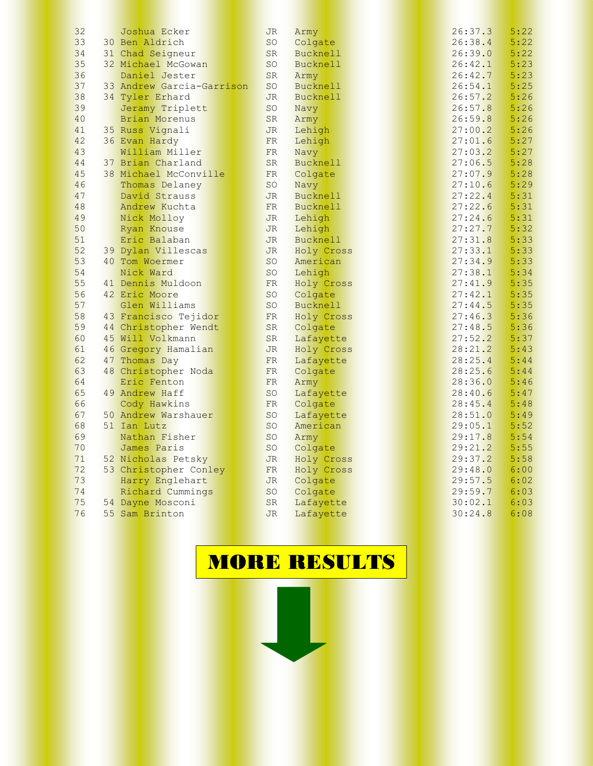| 32       | Joshua Ecker                         | <b>JR</b> | Army              | 26:37.3            | 5:22         |
|----------|--------------------------------------|-----------|-------------------|--------------------|--------------|
| 33       | 30 Ben Aldrich                       | <b>SO</b> | Colgate           | 26:38.4            | 5:22         |
| 34       | 31 Chad Seigneur                     | <b>SR</b> | <b>Bucknell</b>   | 26:39.0            | 5:22         |
| 35       | 32 Michael McGowan                   | <b>SO</b> | <b>Bucknell</b>   | 26:42.1            | 5:23         |
| 36       | Daniel Jester                        | <b>SR</b> | Army              | 26:42.7            | 5:23         |
| 37       | 33 Andrew Garcia-Garrison            | <b>SO</b> | <b>Bucknell</b>   | 26:54.1            | 5:25         |
| 38       | 34 Tyler Erhard                      | <b>JR</b> | <b>Bucknell</b>   | 26:57.2            | 5:26         |
| 39       | Jeramy Triplett                      | <b>SO</b> | Navy              | 26:57.8            | 5:26         |
| 40       | Brian Morenus                        | SR        | Army              | 26:59.8            | 5:26         |
| 41       | 35 Russ Vignali                      | <b>JR</b> | Lehigh            | 27:00.2            | 5:26         |
| 42       | 36 Evan Hardy                        | FR        | Lehigh            | 27:01.6            | 5:27         |
| 43       | William Miller                       | FR        | Navy              | 27:03.2            | 5:27         |
| 44       | 37 Brian Charland                    | <b>SR</b> | <b>Bucknell</b>   | 27:06.5            | 5:28         |
| 45       | 38 Michael McConville                | FR        | Colgate           | 27:07.9            | 5:28         |
| 46       | Thomas Delaney                       | <b>SO</b> | Navy              | 27:10.6            | 5:29         |
| 47       | David Strauss                        | <b>JR</b> | <b>Bucknell</b>   | 27:22.4            | 5:31         |
| 48       | Andrew Kuchta                        | FR        | <b>Bucknell</b>   | 27:22.6            | 5:31         |
| 49       | Nick Molloy                          | <b>JR</b> | Lehigh            | 27:24.6            | 5:31         |
| 50       | Ryan Knouse                          | <b>JR</b> | Lehigh            | 27:27.7            | 5:32         |
| 51       | Eric Balaban                         | <b>JR</b> | <b>Bucknell</b>   | 27:31.8            | 5:33         |
| 52       | 39 Dylan Villescas                   | <b>JR</b> | Holy Cross        | 27:33.1            | 5:33         |
| 53       | 40 Tom Woermer                       | <b>SO</b> | American          | 27:34.9            | 5:33         |
| 54       | Nick Ward                            | <b>SO</b> | Lehigh            | 27:38.1            | 5:34         |
| 55       | 41 Dennis Muldoon                    | FR        | Holy Cross        | 27:41.9            | 5:35         |
| 56       | 42 Eric Moore                        | <b>SO</b> | Colgate           | 27:42.1            | 5:35         |
| 57       | Glen Williams                        | <b>SO</b> | <b>Bucknell</b>   | 27:44.5            | 5:35         |
| 58       | 43 Francisco Tejidor                 | FR        | Holy Cross        | 27:46.3            | 5:36         |
| 59       | 44 Christopher Wendt                 | <b>SR</b> | Colgate           | 27:48.5            | 5:36         |
| 60       | 45 Will Volkmann                     | SR        | Lafayette         | 27:52.2            | 5:37         |
| 61<br>62 | 46 Gregory Hamalian                  | <b>JR</b> | Holy Cross        | 28:21.2            | 5:43<br>5:44 |
| 63       | 47 Thomas Day<br>48 Christopher Noda | FR        | Lafayette         | 28:25.4            | 5:44         |
| 64       | Eric Fenton                          | FR<br>FR  | Colgate           | 28:25.6            | 5:46         |
| 65       | 49 Andrew Haff                       | <b>SO</b> | Army<br>Lafayette | 28:36.0<br>28:40.6 | 5:47         |
| 66       | Cody Hawkins                         | FR        | Colgate           | 28:45.4            | 5:48         |
| 67       | 50 Andrew Warshauer                  | <b>SO</b> | Lafayette         | 28:51.0            | 5:49         |
| 68       | 51 Ian Lutz                          | <b>SO</b> | American          | 29:05.1            | 5:52         |
| 69       | Nathan Fisher                        | <b>SO</b> | Army              | 29:17.8            | 5:54         |
| 70       | James Paris                          | <b>SO</b> | Colgate           | 29:21.2            | 5:55         |
| 71       | 52 Nicholas Petsky                   | <b>JR</b> | Holy Cross        | 29:37.2            | 5:58         |
| 72       | 53 Christopher Conley                | FR        | Holy Cross        | 29:48.0            | 6:00         |
| 73       | Harry Englehart                      | <b>JR</b> | Colgate           | 29:57.5            | 6:02         |
| 74       | Richard Cummings                     | <b>SO</b> | Colgate           | 29:59.7            | 6:03         |
| 75       | 54 Dayne Mosconi                     | <b>SR</b> | Lafayette         | 30:02.1            | 6:03         |
| 76       | 55 Sam Brinton                       | <b>JR</b> | Lafayette         | 30:24.8            | 6:08         |
|          |                                      |           |                   |                    |              |

## MORE RESULTS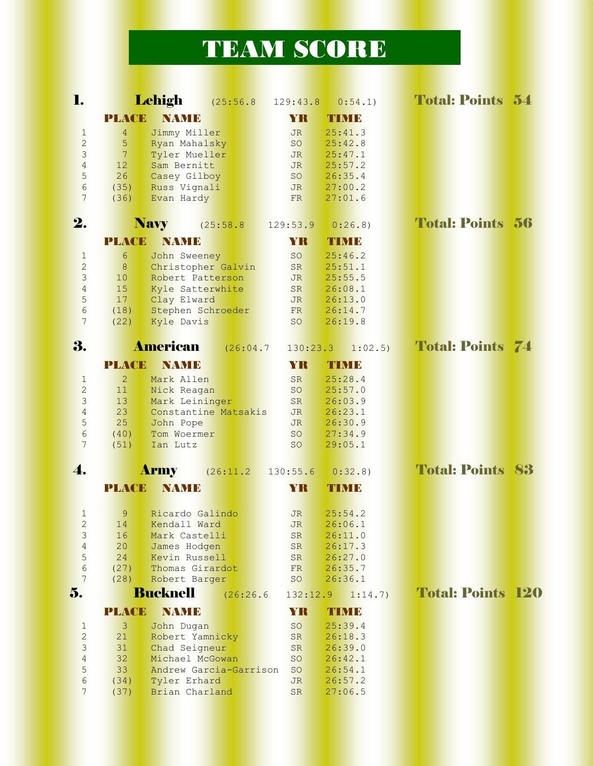## TEAM SCORE

| l.                   |                | Lehigh                     | (25:56.8)              | 129:43.8        | 0:54.1)            | <b>Total: Points 54</b>  |
|----------------------|----------------|----------------------------|------------------------|-----------------|--------------------|--------------------------|
|                      | PLACE          | <b>NAME</b>                |                        | YR              | TIMB               |                          |
| $\mathbf{1}$         | $\overline{4}$ | Jimmy Miller               |                        | JR              | 25:41.3            |                          |
| $\overline{2}$       | 5              | Ryan Mahalsky              |                        | <b>SO</b>       | 25:42.8            |                          |
| 3                    | 7              | Tyler Mueller              |                        | <b>JR</b>       | 25:47.1            |                          |
| $\overline{4}$       | 12             | Sam Bernitt                |                        | JR              | 25:57.2            |                          |
| 5                    | 26             | Casey Gilboy               |                        | <b>SO</b>       | 26:35.4            |                          |
| 6<br>7               | (35)<br>(36)   | Russ Vignali<br>Evan Hardy |                        | <b>JR</b><br>FR | 27:00.2<br>27:01.6 |                          |
| 2.                   |                | <b>Navy</b>                | (25:58.8)              | 129:53.9        | 0:26.8             | <b>Total: Points 56</b>  |
|                      | PLACE          | <b>NAMB</b>                |                        | YR              | TIMB               |                          |
| $\mathbf{1}$         | 6              | John Sweeney               |                        | <b>SO</b>       | 25:46.2            |                          |
| $\overline{c}$       | 8              |                            | Christopher Galvin     | <b>SR</b>       | 25:51.1            |                          |
| 3                    | 10             | Robert Patterson           |                        | <b>JR</b>       | 25:55.5            |                          |
| $\overline{4}$       | 15             | Kyle Satterwhite           |                        | <b>SR</b>       | 26:08.1            |                          |
| 5                    | 17             | Clay Elward                |                        | <b>JR</b>       | 26:13.0            |                          |
| 6                    | (18)           |                            | Stephen Schroeder      | FR              | 26:14.7            |                          |
| 7                    | (22)           | Kyle Davis                 |                        | SO              | 26:19.8            |                          |
| 3.                   |                | <b>American</b>            | (26:04.7)              | 130:23.3        | 1:02.5             | <b>Total: Points 74</b>  |
|                      | PLACE          | <b>NAMB</b>                |                        | YR              | TIMB               |                          |
| $\mathbf{1}$         | $\overline{2}$ | Mark Allen                 |                        | <b>SR</b>       | 25:28.4            |                          |
| $\overline{2}$       | 11             | Nick Reagan                |                        | <b>SO</b>       | 25:57.0            |                          |
| 3                    | 13             | Mark Leininger             |                        | SR              | 26:03.9            |                          |
| $\overline{4}$       | 23             |                            | Constantine Matsakis   | JR              | 26:23.1            |                          |
| 5                    | 25             | John Pope                  |                        | <b>JR</b>       | 26:30.9            |                          |
| $6\phantom{.}6$<br>7 | (40)<br>(51)   | Tom Woermer<br>Ian Lutz    |                        | <b>SO</b><br>SO | 27:34.9<br>29:05.1 |                          |
| 4.                   |                | <b>Army</b>                | (26:11.2)              | 130:55.6        | 0:32.8             | <b>Total: Points 83</b>  |
|                      | PLACE          | <b>NAMB</b>                |                        | YR              | TIMB               |                          |
| $\mathbf{1}$         | 9              | Ricardo Galindo            |                        | JR              | 25:54.2            |                          |
| $\overline{2}$       | 14             | Kendall Ward               |                        | <b>JR</b>       | 26:06.1            |                          |
| 3                    | 16             | Mark Castelli              |                        | <b>SR</b>       | 26:11.0            |                          |
| $\overline{4}$       | 20             | James Hodgen               |                        | <b>SR</b>       | 26:17.3            |                          |
| 5                    | 24             | Kevin Russell              |                        | <b>SR</b>       | 26:27.0            |                          |
| 6                    | (27)           | Thomas Girardot            |                        | FR              | 26:35.7            |                          |
| 7                    | (28)           | Robert Barger              |                        | SO              | 26:36.1            |                          |
| 5.                   |                | <b>Bucknell</b>            | (26:26.6               | 132:12.9        | 1:14.7             | <b>Total: Points 120</b> |
|                      | PLACE          | <b>NAME</b>                |                        | YR              | TIMB               |                          |
| $\mathbf{1}$         | 3              | John Dugan                 |                        | SO              | 25:39.4            |                          |
| $\overline{2}$       | 21             | Robert Yamnicky            |                        | <b>SR</b>       | 26:18.3            |                          |
| 3                    | 31             | Chad Seigneur              |                        | <b>SR</b>       | 26:39.0            |                          |
|                      |                |                            |                        |                 |                    |                          |
| $\overline{4}$       | 32             | Michael McGowan            |                        | <b>SO</b>       | 26:42.1            |                          |
| 5<br>6               | 33<br>(34)     | Tyler Erhard               | Andrew Garcia-Garrison | SO<br>JR        | 26:54.1<br>26:57.2 |                          |